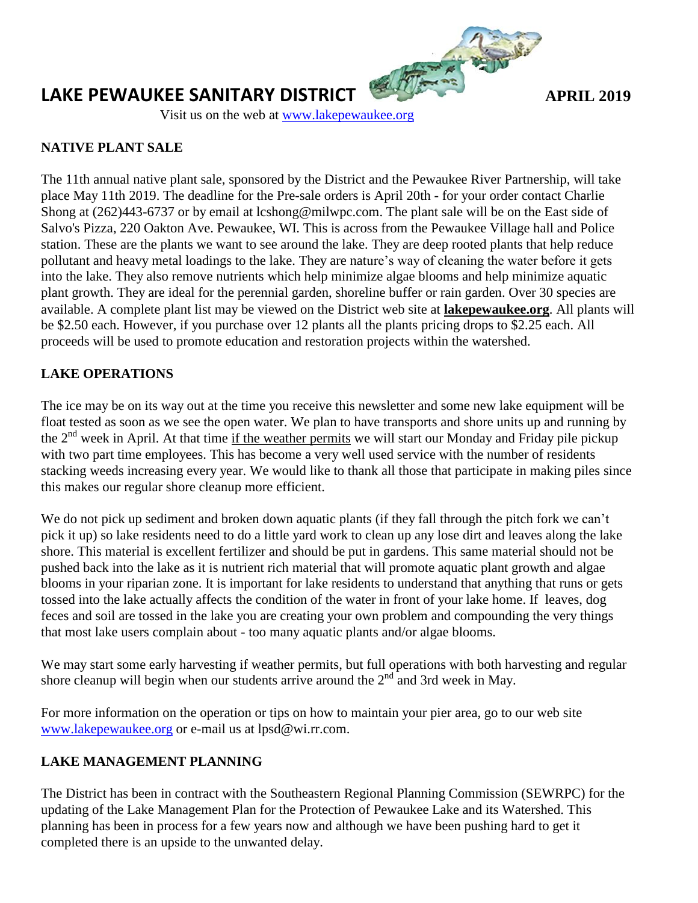

# **LAKE PEWAUKEE SANITARY DISTRICT** *APRIL 2019*

Visit us on the web at [www.lakepewaukee.org](http://www.lakepewaukee.org/)

## **NATIVE PLANT SALE**

The 11th annual native plant sale, sponsored by the District and the Pewaukee River Partnership, will take place May 11th 2019. The deadline for the Pre-sale orders is April 20th - for your order contact Charlie Shong at (262)443-6737 or by email at lcshong@milwpc.com. The plant sale will be on the East side of Salvo's Pizza, 220 Oakton Ave. Pewaukee, WI. This is across from the Pewaukee Village hall and Police station. These are the plants we want to see around the lake. They are deep rooted plants that help reduce pollutant and heavy metal loadings to the lake. They are nature's way of cleaning the water before it gets into the lake. They also remove nutrients which help minimize algae blooms and help minimize aquatic plant growth. They are ideal for the perennial garden, shoreline buffer or rain garden. Over 30 species are available. A complete plant list may be viewed on the District web site at **lakepewaukee.org**. All plants will be \$2.50 each. However, if you purchase over 12 plants all the plants pricing drops to \$2.25 each. All proceeds will be used to promote education and restoration projects within the watershed.

# **LAKE OPERATIONS**

The ice may be on its way out at the time you receive this newsletter and some new lake equipment will be float tested as soon as we see the open water. We plan to have transports and shore units up and running by the 2<sup>nd</sup> week in April. At that time if the weather permits we will start our Monday and Friday pile pickup with two part time employees. This has become a very well used service with the number of residents stacking weeds increasing every year. We would like to thank all those that participate in making piles since this makes our regular shore cleanup more efficient.

We do not pick up sediment and broken down aquatic plants (if they fall through the pitch fork we can't pick it up) so lake residents need to do a little yard work to clean up any lose dirt and leaves along the lake shore. This material is excellent fertilizer and should be put in gardens. This same material should not be pushed back into the lake as it is nutrient rich material that will promote aquatic plant growth and algae blooms in your riparian zone. It is important for lake residents to understand that anything that runs or gets tossed into the lake actually affects the condition of the water in front of your lake home. If leaves, dog feces and soil are tossed in the lake you are creating your own problem and compounding the very things that most lake users complain about - too many aquatic plants and/or algae blooms.

We may start some early harvesting if weather permits, but full operations with both harvesting and regular shore cleanup will begin when our students arrive around the  $2<sup>nd</sup>$  and 3rd week in May.

For more information on the operation or tips on how to maintain your pier area, go to our web site [www.lakepewaukee.org](http://www.lakepewaukee.org/) or e-mail us at lpsd@wi.rr.com.

## **LAKE MANAGEMENT PLANNING**

The District has been in contract with the Southeastern Regional Planning Commission (SEWRPC) for the updating of the Lake Management Plan for the Protection of Pewaukee Lake and its Watershed. This planning has been in process for a few years now and although we have been pushing hard to get it completed there is an upside to the unwanted delay.